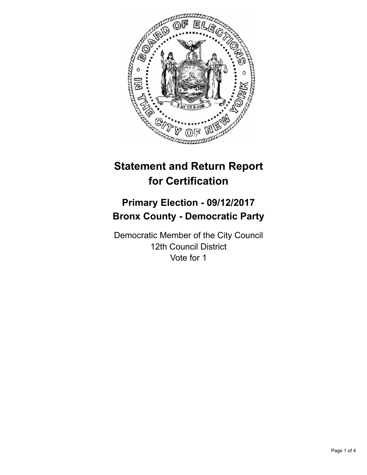

# **Statement and Return Report for Certification**

## **Primary Election - 09/12/2017 Bronx County - Democratic Party**

Democratic Member of the City Council 12th Council District Vote for 1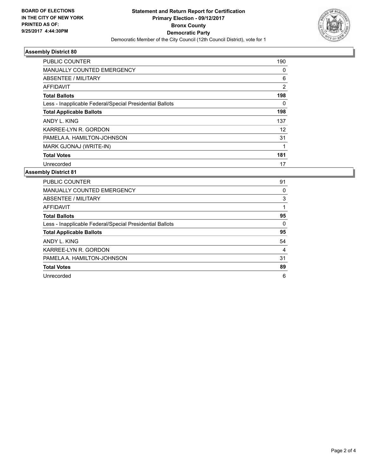

## **Assembly District 80**

| <b>PUBLIC COUNTER</b>                                    | 190            |
|----------------------------------------------------------|----------------|
| <b>MANUALLY COUNTED EMERGENCY</b>                        | 0              |
| ABSENTEE / MILITARY                                      | 6              |
| AFFIDAVIT                                                | $\overline{2}$ |
| <b>Total Ballots</b>                                     | 198            |
| Less - Inapplicable Federal/Special Presidential Ballots | 0              |
| <b>Total Applicable Ballots</b>                          | 198            |
| ANDY L. KING                                             | 137            |
| KARREE-LYN R. GORDON                                     | 12             |
| PAMELA A. HAMILTON-JOHNSON                               | 31             |
| MARK GJONAJ (WRITE-IN)                                   | 1              |
| <b>Total Votes</b>                                       | 181            |
| Unrecorded                                               | 17             |

#### **Assembly District 81**

| <b>PUBLIC COUNTER</b>                                    | 91 |
|----------------------------------------------------------|----|
| <b>MANUALLY COUNTED EMERGENCY</b>                        | 0  |
| ABSENTEE / MILITARY                                      | 3  |
| AFFIDAVIT                                                |    |
| <b>Total Ballots</b>                                     | 95 |
| Less - Inapplicable Federal/Special Presidential Ballots | 0  |
| <b>Total Applicable Ballots</b>                          | 95 |
| ANDY L. KING                                             | 54 |
| KARREE-LYN R. GORDON                                     | 4  |
| PAMELA A. HAMILTON-JOHNSON                               | 31 |
| <b>Total Votes</b>                                       | 89 |
| Unrecorded                                               | 6  |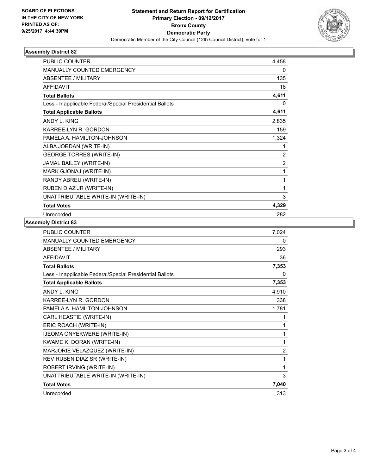

## **Assembly District 82**

| <b>PUBLIC COUNTER</b>                                    | 4,458          |
|----------------------------------------------------------|----------------|
| <b>MANUALLY COUNTED EMERGENCY</b>                        | 0              |
| <b>ABSENTEE / MILITARY</b>                               | 135            |
| <b>AFFIDAVIT</b>                                         | 18             |
| <b>Total Ballots</b>                                     | 4,611          |
| Less - Inapplicable Federal/Special Presidential Ballots | $\Omega$       |
| <b>Total Applicable Ballots</b>                          | 4,611          |
| ANDY L. KING                                             | 2,835          |
| KARREE-LYN R. GORDON                                     | 159            |
| PAMELA A. HAMILTON-JOHNSON                               | 1,324          |
| ALBA JORDAN (WRITE-IN)                                   | 1              |
| <b>GEORGE TORRES (WRITE-IN)</b>                          | 2              |
| JAMAL BAILEY (WRITE-IN)                                  | $\overline{2}$ |
| MARK GJONAJ (WRITE-IN)                                   | 1              |
| RANDY ABREU (WRITE-IN)                                   | 1              |
| RUBEN DIAZ JR (WRITE-IN)                                 | 1              |
| UNATTRIBUTABLE WRITE-IN (WRITE-IN)                       | 3              |
| <b>Total Votes</b>                                       | 4,329          |
| Unrecorded                                               | 282            |

## **Assembly District 83**

| PUBLIC COUNTER                                           | 7,024          |
|----------------------------------------------------------|----------------|
| MANUALLY COUNTED EMERGENCY                               | 0              |
| <b>ABSENTEE / MILITARY</b>                               | 293            |
| <b>AFFIDAVIT</b>                                         | 36             |
| <b>Total Ballots</b>                                     | 7,353          |
| Less - Inapplicable Federal/Special Presidential Ballots | 0              |
| <b>Total Applicable Ballots</b>                          | 7,353          |
| ANDY L. KING                                             | 4,910          |
| KARREE-LYN R. GORDON                                     | 338            |
| PAMELA A. HAMILTON-JOHNSON                               | 1,781          |
| CARL HEASTIE (WRITE-IN)                                  | 1              |
| ERIC ROACH (WRITE-IN)                                    | 1              |
| IJEOMA ONYEKWERE (WRITE-IN)                              | 1              |
| KWAME K. DORAN (WRITE-IN)                                | 1              |
| MARJORIE VELAZQUEZ (WRITE-IN)                            | $\overline{2}$ |
| REV RUBEN DIAZ SR (WRITE-IN)                             | 1              |
| ROBERT IRVING (WRITE-IN)                                 | 1              |
| UNATTRIBUTABLE WRITE-IN (WRITE-IN)                       | 3              |
| <b>Total Votes</b>                                       | 7,040          |
| Unrecorded                                               | 313            |